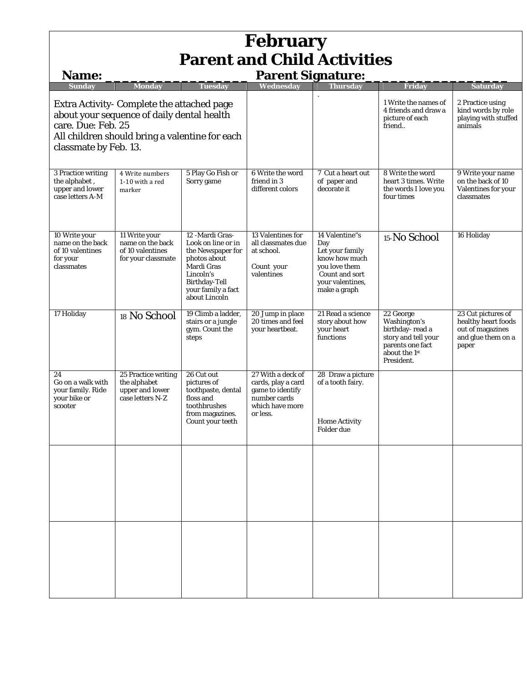| <b>February</b><br><b>Parent and Child Activities</b>                                                                                                                                                                    |                                                                             |                                                                                                                                                                      |                                                                                                            |                                                                                                                                  |                                                                                                                        |                                                                                              |  |  |
|--------------------------------------------------------------------------------------------------------------------------------------------------------------------------------------------------------------------------|-----------------------------------------------------------------------------|----------------------------------------------------------------------------------------------------------------------------------------------------------------------|------------------------------------------------------------------------------------------------------------|----------------------------------------------------------------------------------------------------------------------------------|------------------------------------------------------------------------------------------------------------------------|----------------------------------------------------------------------------------------------|--|--|
| <b>Name:</b>                                                                                                                                                                                                             |                                                                             |                                                                                                                                                                      | <b>Parent Signature:</b>                                                                                   |                                                                                                                                  |                                                                                                                        |                                                                                              |  |  |
| Mondav<br>Tuesday<br>Sundav<br>Extra Activity- Complete the attached page<br>about your sequence of daily dental health<br>care. Due: Feb. 25<br>All children should bring a valentine for each<br>classmate by Feb. 13. |                                                                             | Wednesday                                                                                                                                                            | Thursday                                                                                                   | <b>Friday</b><br>1 Write the names of<br>4 friends and draw a<br>picture of each<br>friend                                       | <b>Saturday</b><br>2 Practice using<br>kind words by role<br>playing with stuffed<br>animals                           |                                                                                              |  |  |
| 3 Practice writing<br>the alphabet,<br>upper and lower<br>case letters A-M                                                                                                                                               | 4 Write numbers<br>1-10 with a red<br>marker                                | 5 Play Go Fish or<br>Sorry game                                                                                                                                      | 6 Write the word<br>friend in 3<br>different colors                                                        | 7 Cut a heart out<br>of paper and<br>decorate it                                                                                 | 8 Write the word<br>heart 3 times. Write<br>the words I love you<br>four times                                         | 9 Write your name<br>on the back of 10<br>Valentines for your<br>classmates                  |  |  |
| 10 Write your<br>name on the back<br>of 10 valentines<br>for your<br>classmates                                                                                                                                          | 11 Write your<br>name on the back<br>of 10 valentines<br>for your classmate | 12 -Mardi Gras-<br>Look on line or in<br>the Newspaper for<br>photos about<br>Mardi Gras<br>Lincoln's<br><b>Birthday-Tell</b><br>your family a fact<br>about Lincoln | 13 Valentines for<br>all classmates due<br>at school.<br>Count your<br>valentines                          | 14 Valentine"s<br>Day<br>Let your family<br>know how much<br>you love them<br>Count and sort<br>your valentines,<br>make a graph | 15-No School                                                                                                           | 16 Holiday                                                                                   |  |  |
| 17 Holiday                                                                                                                                                                                                               | 18 No School                                                                | 19 Climb a ladder,<br>stairs or a jungle<br>gym. Count the<br>steps                                                                                                  | 20 Jump in place<br>20 times and feel<br>your heartbeat.                                                   | 21 Read a science<br>story about how<br>your heart<br>functions                                                                  | 22 George<br>Washington's<br>birthday-read a<br>story and tell your<br>parents one fact<br>about the 1st<br>President. | 23 Cut pictures of<br>healthy heart foods<br>out of magazines<br>and glue them on a<br>paper |  |  |
| 24<br>Go on a walk with<br>your family. Ride<br>your bike or<br>scooter                                                                                                                                                  | 25 Practice writing<br>the alphabet<br>upper and lower<br>case letters N-Z  | 26 Cut out<br>pictures of<br>toothpaste, dental<br>floss and<br>toothbrushes<br>from magazines.<br>Count your teeth                                                  | 27 With a deck of<br>cards, play a card<br>game to identify<br>number cards<br>which have more<br>or less. | 28 Draw a picture<br>of a tooth fairy.<br><b>Home Activity</b><br>Folder due                                                     |                                                                                                                        |                                                                                              |  |  |
|                                                                                                                                                                                                                          |                                                                             |                                                                                                                                                                      |                                                                                                            |                                                                                                                                  |                                                                                                                        |                                                                                              |  |  |
|                                                                                                                                                                                                                          |                                                                             |                                                                                                                                                                      |                                                                                                            |                                                                                                                                  |                                                                                                                        |                                                                                              |  |  |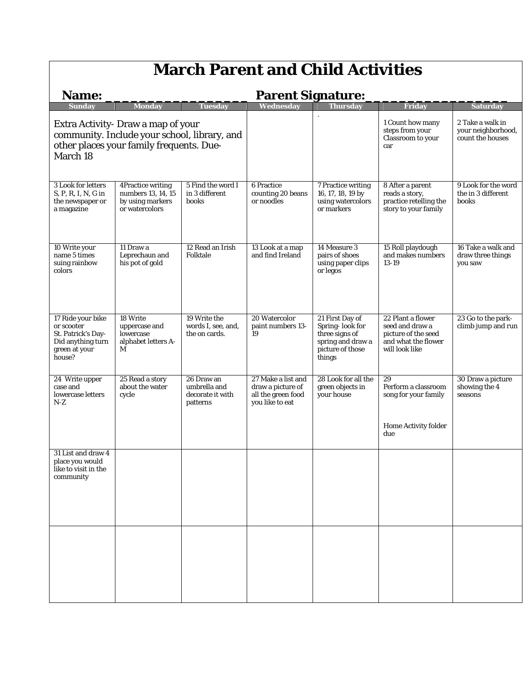## **March Parent and Child Activities**

| <b>Parent Signature:</b><br><b>Name:</b>                                                                                                   |                                                                               |                                                            |                                                                                  |                                                                                                         |                                                                                                      |                                                    |
|--------------------------------------------------------------------------------------------------------------------------------------------|-------------------------------------------------------------------------------|------------------------------------------------------------|----------------------------------------------------------------------------------|---------------------------------------------------------------------------------------------------------|------------------------------------------------------------------------------------------------------|----------------------------------------------------|
| <b>Sunday</b>                                                                                                                              | <b>Monday</b>                                                                 | <b>Tuesday</b>                                             | Wednesdav                                                                        | <b>Thursday</b>                                                                                         | <b>Friday</b>                                                                                        | <b>Saturday</b>                                    |
| Extra Activity- Draw a map of your<br>community. Include your school, library, and<br>other places your family frequents. Due-<br>March 18 |                                                                               |                                                            |                                                                                  | 1 Count how many<br>steps from your<br>Classroom to your<br>car                                         | 2 Take a walk in<br>your neighborhood,<br>count the houses                                           |                                                    |
| <b>3 Look for letters</b><br>S, P, R, I, N, G in<br>the newspaper or<br>a magazine                                                         | 4Practice writing<br>numbers 13, 14, 15<br>by using markers<br>or watercolors | 5 Find the word I<br>in 3 different<br>books               | <b>6 Practice</b><br>counting 20 beans<br>or noodles                             | <b>7 Practice writing</b><br>16, 17, 18, 19 by<br>using watercolors<br>or markers                       | 8 After a parent<br>reads a story,<br>practice retelling the<br>story to your family                 | 9 Look for the word<br>the in 3 different<br>books |
| 10 Write your<br>name 5 times<br>suing rainbow<br>colors                                                                                   | 11 Draw a<br>Leprechaun and<br>his pot of gold                                | 12 Read an Irish<br>Folktale                               | 13 Look at a map<br>and find Ireland                                             | 14 Measure 3<br>pairs of shoes<br>using paper clips<br>or legos                                         | 15 Roll playdough<br>and makes numbers<br>13-19                                                      | 16 Take a walk and<br>draw three things<br>you saw |
| 17 Ride your bike<br>or scooter<br>St. Patrick's Day-<br>Did anything turn<br>green at your<br>house?                                      | 18 Write<br>uppercase and<br>lowercase<br>alphabet letters A-<br>M            | 19 Write the<br>words I, see, and,<br>the on cards.        | 20 Watercolor<br>paint numbers 13-<br>19                                         | 21 First Day of<br>Spring-look for<br>three signs of<br>spring and draw a<br>picture of those<br>things | 22 Plant a flower<br>seed and draw a<br>picture of the seed<br>and what the flower<br>will look like | 23 Go to the park-<br>climb jump and run           |
| 24 Write upper<br>case and<br>lowercase letters<br>N-Z                                                                                     | 25 Read a story<br>about the water<br>cycle                                   | 26 Draw an<br>umbrella and<br>decorate it with<br>patterns | 27 Make a list and<br>draw a picture of<br>all the green food<br>you like to eat | 28 Look for all the<br>green objects in<br>your house                                                   | 29<br>Perform a classroom<br>song for your family<br><b>Home Activity folder</b><br>due              | 30 Draw a picture<br>showing the 4<br>seasons      |
| 31 List and draw 4<br>place you would<br>like to visit in the<br>community                                                                 |                                                                               |                                                            |                                                                                  |                                                                                                         |                                                                                                      |                                                    |
|                                                                                                                                            |                                                                               |                                                            |                                                                                  |                                                                                                         |                                                                                                      |                                                    |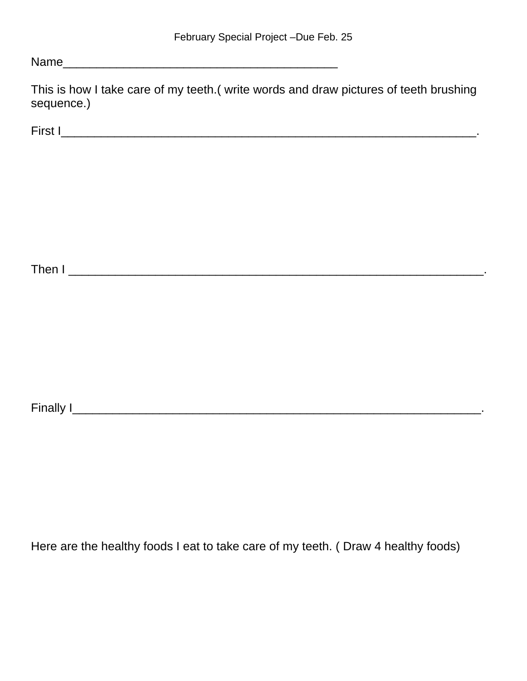Name was also as a set of the set of the set of the set of the set of the set of the set of the set of the set of the set of the set of the set of the set of the set of the set of the set of the set of the set of the set o

This is how I take care of my teeth.( write words and draw pictures of teeth brushing sequence.)

First I\_\_\_\_\_\_\_\_\_\_\_\_\_\_\_\_\_\_\_\_\_\_\_\_\_\_\_\_\_\_\_\_\_\_\_\_\_\_\_\_\_\_\_\_\_\_\_\_\_\_\_\_\_\_\_\_\_\_\_\_\_\_.

Then I \_\_\_\_\_\_\_\_\_\_\_\_\_\_\_\_\_\_\_\_\_\_\_\_\_\_\_\_\_\_\_\_\_\_\_\_\_\_\_\_\_\_\_\_\_\_\_\_\_\_\_\_\_\_\_\_\_\_\_\_\_\_.

Finally I\_\_\_\_\_\_\_\_\_\_\_\_\_\_\_\_\_\_\_\_\_\_\_\_\_\_\_\_\_\_\_\_\_\_\_\_\_\_\_\_\_\_\_\_\_\_\_\_\_\_\_\_\_\_\_\_\_\_\_\_\_.

Here are the healthy foods I eat to take care of my teeth. ( Draw 4 healthy foods)